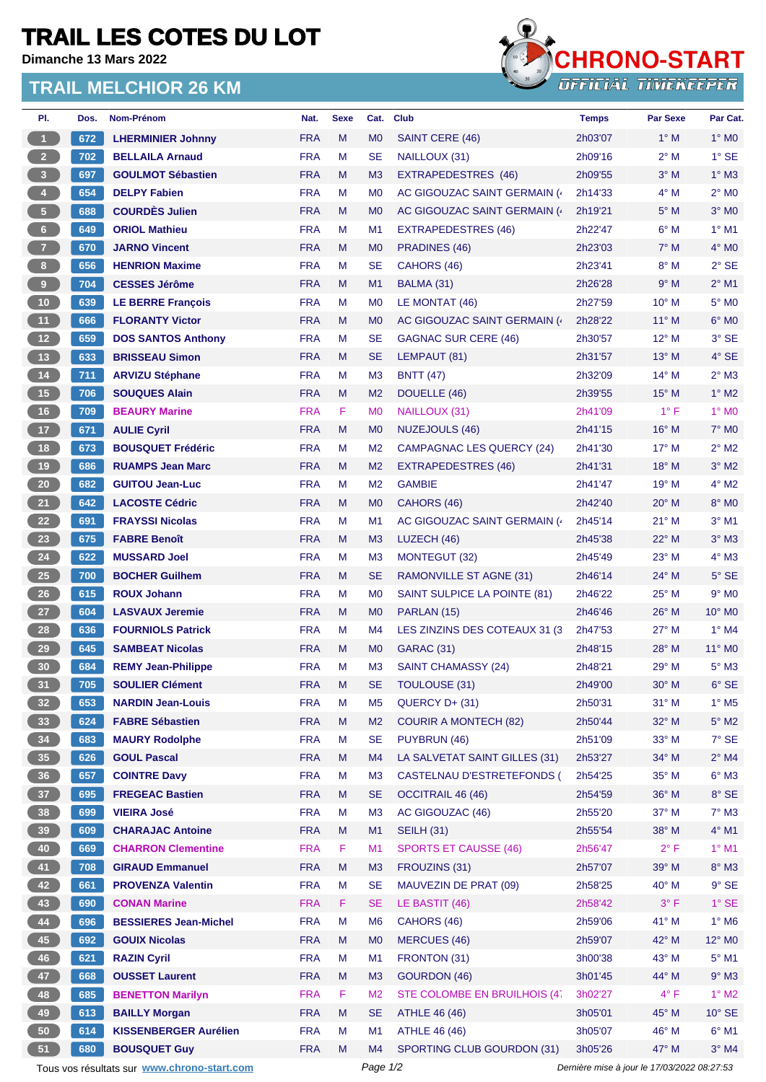## **TRAIL LES COTES DU LOT**

**Dimanche 13 Mars 2022**

## **TRAIL MELCHIOR 26 KM**



| PI.                     | Dos. | Nom-Prénom                                  | Nat.       | <b>Sexe</b> | Cat.                             | <b>Club</b>                        | <b>Temps</b>       | <b>Par Sexe</b>                             | Par Cat.                    |
|-------------------------|------|---------------------------------------------|------------|-------------|----------------------------------|------------------------------------|--------------------|---------------------------------------------|-----------------------------|
| $\mathbf{1}$            | 672  | <b>LHERMINIER Johnny</b>                    | <b>FRA</b> | M           | M <sub>0</sub>                   | SAINT CERE (46)                    | 2h03'07            | $1^\circ$ M                                 | $1^\circ$ MO                |
| 2 <sup>2</sup>          | 702  | <b>BELLAILA Arnaud</b>                      | <b>FRA</b> | M           | <b>SE</b>                        | NAILLOUX (31)                      | 2h09'16            | 2° M                                        | $1^\circ$ SE                |
| $\overline{\mathbf{3}}$ | 697  | <b>GOULMOT Sébastien</b>                    | <b>FRA</b> | M           | M <sub>3</sub>                   | <b>EXTRAPEDESTRES (46)</b>         | 2h09'55            | $3^\circ$ M                                 | $1^\circ$ M3                |
| $\overline{4}$          | 654  | <b>DELPY Fabien</b>                         | <b>FRA</b> | M           | M <sub>0</sub>                   | AC GIGOUZAC SAINT GERMAIN (        | 2h14'33            | $4^\circ$ M                                 | $2^{\circ}$ MO              |
| 5 <sub>1</sub>          | 688  | <b>COURDÈS Julien</b>                       | <b>FRA</b> | M           | M <sub>0</sub>                   | AC GIGOUZAC SAINT GERMAIN (        | 2h19'21            | $5^\circ$ M                                 | $3°$ MO                     |
| $\,$ 6 $\,$             | 649  | <b>ORIOL Mathieu</b>                        | <b>FRA</b> | M           | M <sub>1</sub>                   | EXTRAPEDESTRES (46)                | 2h22'47            | $6^\circ$ M                                 | $1^\circ$ M1                |
| $\mathbf{7}$            | 670  | <b>JARNO Vincent</b>                        | <b>FRA</b> | M           | M <sub>0</sub>                   | PRADINES (46)                      | 2h23'03            | $7^\circ$ M                                 | $4^\circ$ MO                |
| $\bf{8}$                | 656  | <b>HENRION Maxime</b>                       | <b>FRA</b> | M           | <b>SE</b>                        | CAHORS (46)                        | 2h23'41            | $8^\circ$ M                                 | $2^{\circ}$ SE              |
| $\boldsymbol{9}$        | 704  | <b>CESSES Jérôme</b>                        | <b>FRA</b> | M           | M <sub>1</sub>                   | BALMA (31)                         | 2h26'28            | 9° M                                        | $2^{\circ}$ M1              |
| 10                      | 639  | <b>LE BERRE François</b>                    | <b>FRA</b> | M           | M <sub>0</sub>                   | LE MONTAT (46)                     | 2h27'59            | $10^{\circ}$ M                              | 5° M <sub>0</sub>           |
| 11                      | 666  | <b>FLORANTY Victor</b>                      | <b>FRA</b> | M           | M <sub>0</sub>                   | AC GIGOUZAC SAINT GERMAIN (        | 2h28'22            | $11^{\circ}$ M                              | $6^\circ$ MO                |
| 12                      | 659  | <b>DOS SANTOS Anthony</b>                   | <b>FRA</b> | M           | <b>SE</b>                        | GAGNAC SUR CERE (46)               | 2h30'57            | $12^{\circ}$ M                              | 3° SE                       |
| 13                      | 633  | <b>BRISSEAU Simon</b>                       | <b>FRA</b> | M           | <b>SE</b>                        | LEMPAUT (81)                       | 2h31'57            | $13^\circ$ M                                | $4^\circ$ SE                |
| $14$                    | 711  | <b>ARVIZU Stéphane</b>                      | <b>FRA</b> | M           | M <sub>3</sub>                   | <b>BNTT (47)</b>                   | 2h32'09            | $14^{\circ}$ M                              | $2^\circ$ M3                |
| 15                      | 706  | <b>SOUQUES Alain</b>                        | <b>FRA</b> | M           | M <sub>2</sub>                   | DOUELLE (46)                       | 2h39'55            | $15^{\circ}$ M                              | $1^\circ$ M2                |
| 16                      | 709  | <b>BEAURY Marine</b>                        | <b>FRA</b> | F           | M <sub>0</sub>                   | NAILLOUX (31)                      | 2h41'09            | $1^{\circ}$ F                               | $1^\circ$ MO                |
| 17                      | 671  | <b>AULIE Cyril</b>                          | <b>FRA</b> | M           | M <sub>0</sub>                   | NUZEJOULS (46)                     | 2h41'15            | $16^{\circ}$ M                              | <b>7° MO</b>                |
| 18                      | 673  | <b>BOUSQUET Frédéric</b>                    | <b>FRA</b> | M           | M <sub>2</sub>                   | <b>CAMPAGNAC LES QUERCY (24)</b>   | 2h41'30            | $17^\circ$ M                                | $2^{\circ}$ M2              |
| 19                      | 686  | <b>RUAMPS Jean Marc</b>                     | <b>FRA</b> | M           | M <sub>2</sub>                   | <b>EXTRAPEDESTRES (46)</b>         | 2h41'31            | $18^{\circ}$ M                              | $3^\circ$ M2                |
| 20                      | 682  | <b>GUITOU Jean-Luc</b>                      | <b>FRA</b> | M           | M <sub>2</sub>                   | <b>GAMBIE</b>                      | 2h41'47            | $19^{\circ}$ M                              | $4^\circ$ M2                |
| 21                      | 642  | <b>LACOSTE Cédric</b>                       | <b>FRA</b> | M           | M <sub>0</sub>                   | CAHORS (46)                        | 2h42'40            | $20^\circ$ M                                | 8° MO                       |
| 22                      | 691  | <b>FRAYSSI Nicolas</b>                      | <b>FRA</b> | M           | M1                               | AC GIGOUZAC SAINT GERMAIN (4)      | 2h45'14            | $21^{\circ}$ M                              | $3°$ M1                     |
| 23                      | 675  | <b>FABRE Benoît</b>                         | <b>FRA</b> | M           | M <sub>3</sub>                   | LUZECH (46)                        | 2h45'38            | $22^{\circ}$ M                              | $3°$ M $3$                  |
| 24                      | 622  | <b>MUSSARD Joel</b>                         | <b>FRA</b> | M           | M <sub>3</sub>                   | MONTEGUT (32)                      | 2h45'49            | $23^\circ$ M                                | $4^\circ$ M3                |
| <b>25</b>               | 700  | <b>BOCHER Guilhem</b>                       | <b>FRA</b> | M           | <b>SE</b>                        | RAMONVILLE ST AGNE (31)            | 2h46'14            | $24^{\circ}$ M                              | $5^\circ$ SE                |
| 26                      | 615  | <b>ROUX Johann</b>                          | <b>FRA</b> | M           | M <sub>0</sub>                   | SAINT SULPICE LA POINTE (81)       | 2h46'22            | $25^{\circ}$ M                              | $9°$ MO                     |
| 27                      | 604  | <b>LASVAUX Jeremie</b>                      | <b>FRA</b> | M           | M <sub>0</sub>                   | PARLAN (15)                        | 2h46'46            | $26^{\circ}$ M                              | $10^{\circ}$ M <sub>0</sub> |
| 28                      | 636  | <b>FOURNIOLS Patrick</b>                    | <b>FRA</b> | M           | M4                               | LES ZINZINS DES COTEAUX 31 (3      | 2h47'53            | 27° M                                       | $1^\circ$ M4                |
| 29                      | 645  | <b>SAMBEAT Nicolas</b>                      | <b>FRA</b> | M           | M <sub>0</sub>                   | GARAC (31)                         | 2h48'15            | $28^\circ$ M                                | $11^\circ$ MO               |
| 30                      | 684  | <b>REMY Jean-Philippe</b>                   | <b>FRA</b> | M           | M <sub>3</sub>                   | SAINT CHAMASSY (24)                | 2h48'21            | $29^{\circ}$ M                              | $5^\circ$ M3                |
| 31                      | 705  | <b>SOULIER Clément</b>                      | <b>FRA</b> | M           | <b>SE</b>                        | TOULOUSE (31)                      | 2h49'00            | 30° M                                       | $6^{\circ}$ SE              |
| 32 <sup>°</sup>         | 653  | <b>NARDIN Jean-Louis</b>                    | <b>FRA</b> | M           | M5                               | QUERCY D+ (31)                     | 2h50'31            | $31°$ M                                     | $1^\circ$ M <sub>5</sub>    |
| 33                      | 624  | <b>FABRE Sébastien</b>                      | <b>FRA</b> | M           | M <sub>2</sub>                   | <b>COURIR A MONTECH (82)</b>       | 2h50'44            | 32° M                                       | $5^\circ$ M2                |
| 34                      | 683  | <b>MAURY Rodolphe</b>                       | <b>FRA</b> | M           | <b>SE</b>                        | PUYBRUN (46)                       | 2h51'09            | 33° M                                       | 7° SE                       |
| 35                      | 626  | <b>GOUL Pascal</b>                          | <b>FRA</b> | M           | M4                               | LA SALVETAT SAINT GILLES (31)      | 2h53'27            | 34° M                                       | $2^{\circ}$ M4              |
| 36 <sup>°</sup>         | 657  | <b>COINTRE Davy</b>                         | <b>FRA</b> | M           | M <sub>3</sub>                   | <b>CASTELNAU D'ESTRETEFONDS (</b>  | 2h54'25            | $35^\circ$ M                                | $6^\circ$ M3                |
| 37 <sup>°</sup>         | 695  | <b>FREGEAC Bastien</b>                      | <b>FRA</b> | M           | <b>SE</b>                        | <b>OCCITRAIL 46 (46)</b>           | 2h54'59            | 36° M                                       | 8° SE                       |
| 38                      | 699  | <b>VIEIRA José</b>                          | <b>FRA</b> | M           | M <sub>3</sub>                   | AC GIGOUZAC (46)                   | 2h55'20            | 37° M                                       | $7^\circ$ M3                |
| $39$                    | 609  | <b>CHARAJAC Antoine</b>                     | <b>FRA</b> | M           | M1                               | <b>SEILH (31)</b>                  | 2h55'54            | 38° M                                       | $4^\circ$ M1                |
| 40                      | 669  | <b>CHARRON Clementine</b>                   | <b>FRA</b> | F           | M1                               | <b>SPORTS ET CAUSSE (46)</b>       | 2h56'47            | $2^{\circ}$ F                               | $1°$ M1                     |
| 41                      | 708  | <b>GIRAUD Emmanuel</b>                      | <b>FRA</b> | M           | M3                               | FROUZINS (31)                      | 2h57'07            | 39° M                                       | $8^\circ$ M3                |
| 42                      | 661  | <b>PROVENZA Valentin</b>                    | <b>FRA</b> | M           | <b>SE</b>                        | MAUVEZIN DE PRAT (09)              | 2h58'25            | 40° M                                       | $9°$ SE                     |
| 43                      | 690  | <b>CONAN Marine</b>                         | <b>FRA</b> | F           | <b>SE</b>                        | LE BASTIT (46)                     | 2h58'42            | $3^{\circ}$ F                               | $1^\circ$ SE                |
| 44                      | 696  | <b>BESSIERES Jean-Michel</b>                | <b>FRA</b> | M           |                                  |                                    |                    | $41^{\circ}$ M                              | $1^\circ$ M6                |
| 45                      | 692  | <b>GOUIX Nicolas</b>                        | <b>FRA</b> | M           | M <sub>6</sub><br>M <sub>0</sub> | CAHORS (46)<br><b>MERCUES (46)</b> | 2h59'06<br>2h59'07 | 42° M                                       | 12° MO                      |
|                         |      |                                             | <b>FRA</b> | M           | M1                               | FRONTON (31)                       | 3h00'38            | 43° M                                       | $5^{\circ}$ M1              |
| 46                      | 621  | <b>RAZIN Cyril</b>                          |            |             |                                  |                                    |                    |                                             |                             |
| 47                      | 668  | <b>OUSSET Laurent</b>                       | <b>FRA</b> | M           | M <sub>3</sub>                   | GOURDON (46)                       | 3h01'45            | 44° M                                       | $9^\circ$ M3                |
| 48                      | 685  | <b>BENETTON Marilyn</b>                     | <b>FRA</b> | F           | M <sub>2</sub>                   | STE COLOMBE EN BRUILHOIS (47       | 3h02'27            | $4^{\circ}$ F                               | $1^\circ$ M2                |
| 49                      | 613  | <b>BAILLY Morgan</b>                        | <b>FRA</b> | M           | <b>SE</b>                        | <b>ATHLE 46 (46)</b>               | 3h05'01            | 45° M                                       | $10^{\circ}$ SE             |
| ${\bf 50}$              | 614  | <b>KISSENBERGER Aurélien</b>                | <b>FRA</b> | M           | M <sub>1</sub>                   | <b>ATHLE 46 (46)</b>               | 3h05'07            | 46° M                                       | $6^{\circ}$ M1              |
| 51                      | 680  | <b>BOUSQUET Guy</b>                         | <b>FRA</b> | M           | M4                               | SPORTING CLUB GOURDON (31)         | 3h05'26            | 47° M                                       | $3°$ M4                     |
|                         |      | Tous vos résultats sur www.chrono-start.com |            |             | Page 1/2                         |                                    |                    | Dernière mise à jour le 17/03/2022 08:27:53 |                             |